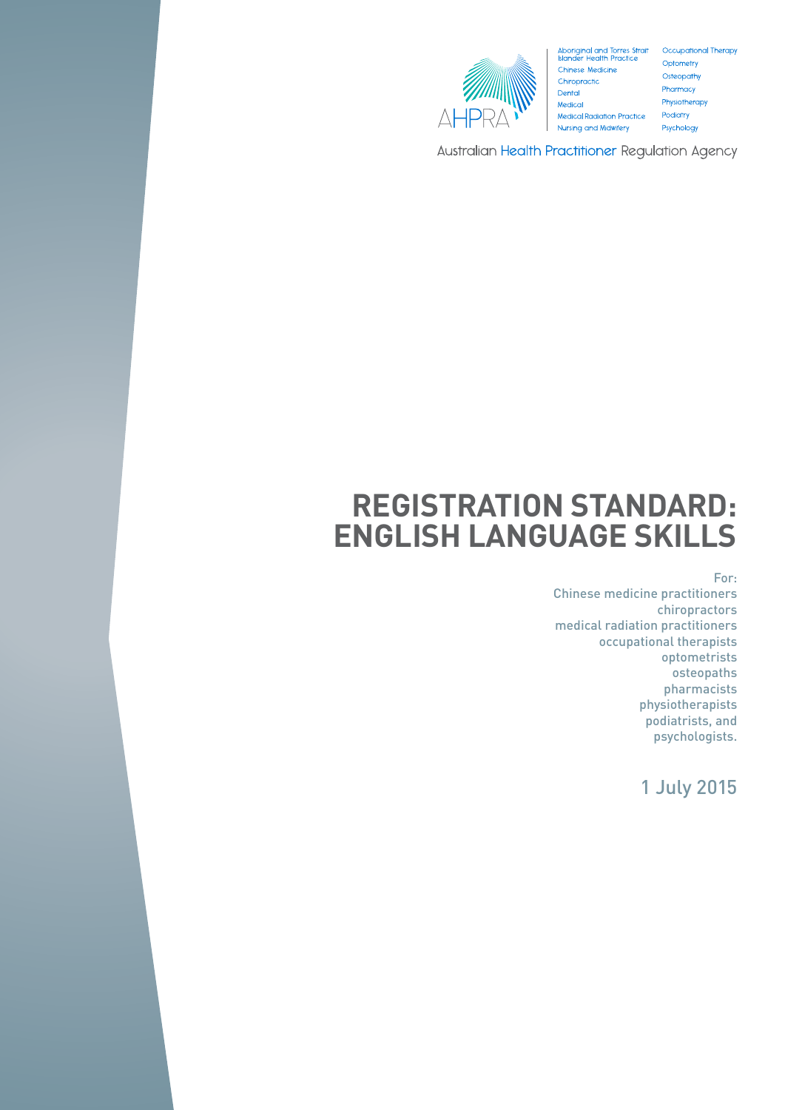

Aboriginal and Torres Strait Occupational Therapy<br>Islander Health Practice Optometry **Chinese Medicine** Chiropractic Dental Medical **Medical Radiation Practice** Nursing and Midwifery

Optometry Osteopathy Pharmacy Physiotherapy Podiatry Psychology

Australian Health Practitioner Regulation Agency

# **REGISTRATION STANDARD: ENGLISH LANGUAGE SKILLS**

For:

Chinese medicine practitioners chiropractors medical radiation practitioners occupational therapists optometrists osteopaths pharmacists physiotherapists podiatrists, and psychologists.

1 July 2015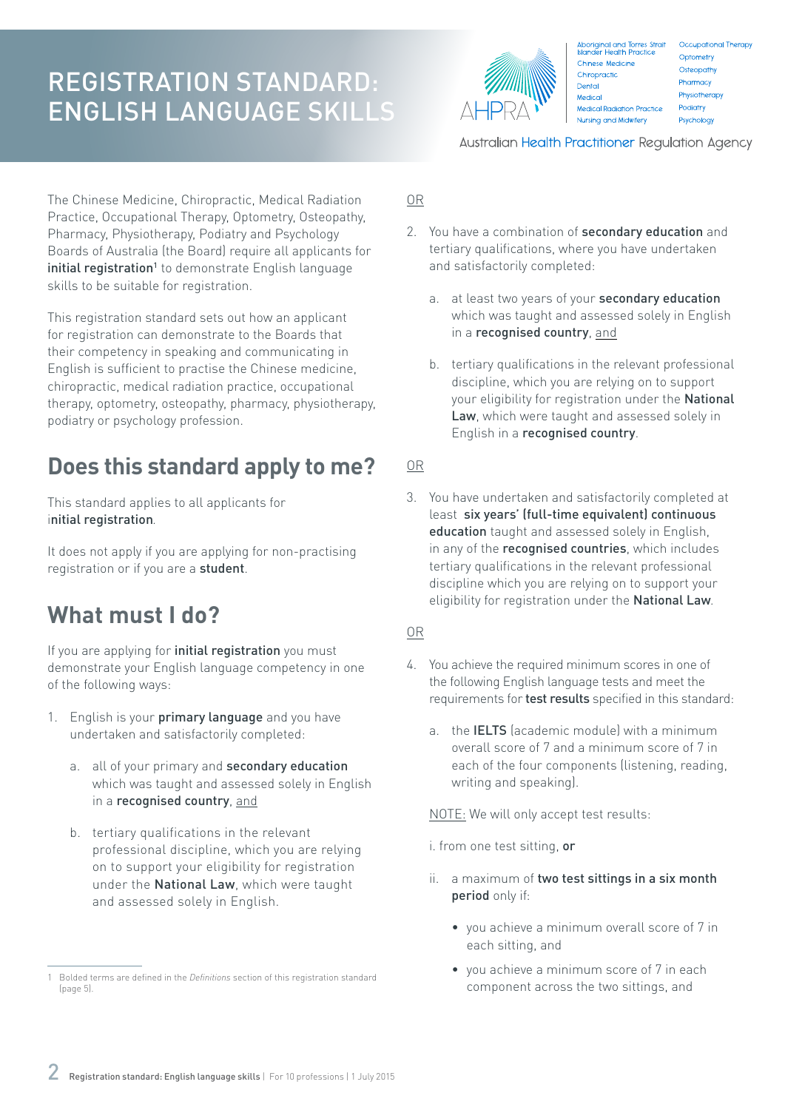

Aboriginal and Torres Strait<br>Islander Health Practice Occupational Therapy Optometry Chinese Medicine Osteopathy Chiropractic Pharmacy Dental Physiotherapy Medical Medical Radiation Practice Podiatry Nursing and Midwifery Psychology

Australian Health Practitioner Regulation Agency

The Chinese Medicine, Chiropractic, Medical Radiation Practice, Occupational Therapy, Optometry, Osteopathy, Pharmacy, Physiotherapy, Podiatry and Psychology Boards of Australia (the Board) require all applicants for initial registration<sup>1</sup> to demonstrate English language skills to be suitable for registration.

This registration standard sets out how an applicant for registration can demonstrate to the Boards that their competency in speaking and communicating in English is sufficient to practise the Chinese medicine, chiropractic, medical radiation practice, occupational therapy, optometry, osteopathy, pharmacy, physiotherapy, podiatry or psychology profession.

### **Does this standard apply to me?**

This standard applies to all applicants for initial registration*.*

It does not apply if you are applying for non-practising registration or if you are a student.

### **What must I do?**

If you are applying for *initial registration* you must demonstrate your English language competency in one of the following ways:

- 1. English is your **primary language** and you have undertaken and satisfactorily completed:
	- a. all of your primary and secondary education which was taught and assessed solely in English in a recognised country, and
	- b. tertiary qualifications in the relevant professional discipline, which you are relying on to support your eligibility for registration under the National Law, which were taught and assessed solely in English.

#### OR

- 2. You have a combination of **secondary education** and tertiary qualifications, where you have undertaken and satisfactorily completed:
	- a. at least two vears of your **secondary education** which was taught and assessed solely in English in a recognised country, and
	- b. tertiary qualifications in the relevant professional discipline, which you are relying on to support your eligibility for registration under the National Law, which were taught and assessed solely in English in a recognised country.
- OR
- 3. You have undertaken and satisfactorily completed at least six years' (full-time equivalent) continuous education taught and assessed solely in English, in any of the recognised countries, which includes tertiary qualifications in the relevant professional discipline which you are relying on to support your eligibility for registration under the National Law*.*

#### OR

- 4. You achieve the required minimum scores in one of the following English language tests and meet the requirements for test results specified in this standard:
	- a. the IELTS (academic module) with a minimum overall score of 7 and a minimum score of 7 in each of the four components (listening, reading, writing and speaking).

NOTE: We will only accept test results:

i. from one test sitting, or

- ii. a maximum of two test sittings in a six month period only if:
	- you achieve a minimum overall score of 7 in each sitting, and
	- you achieve a minimum score of 7 in each component across the two sittings, and

<sup>1</sup> Bolded terms are defined in the *Definitions* section of this registration standard (page 5).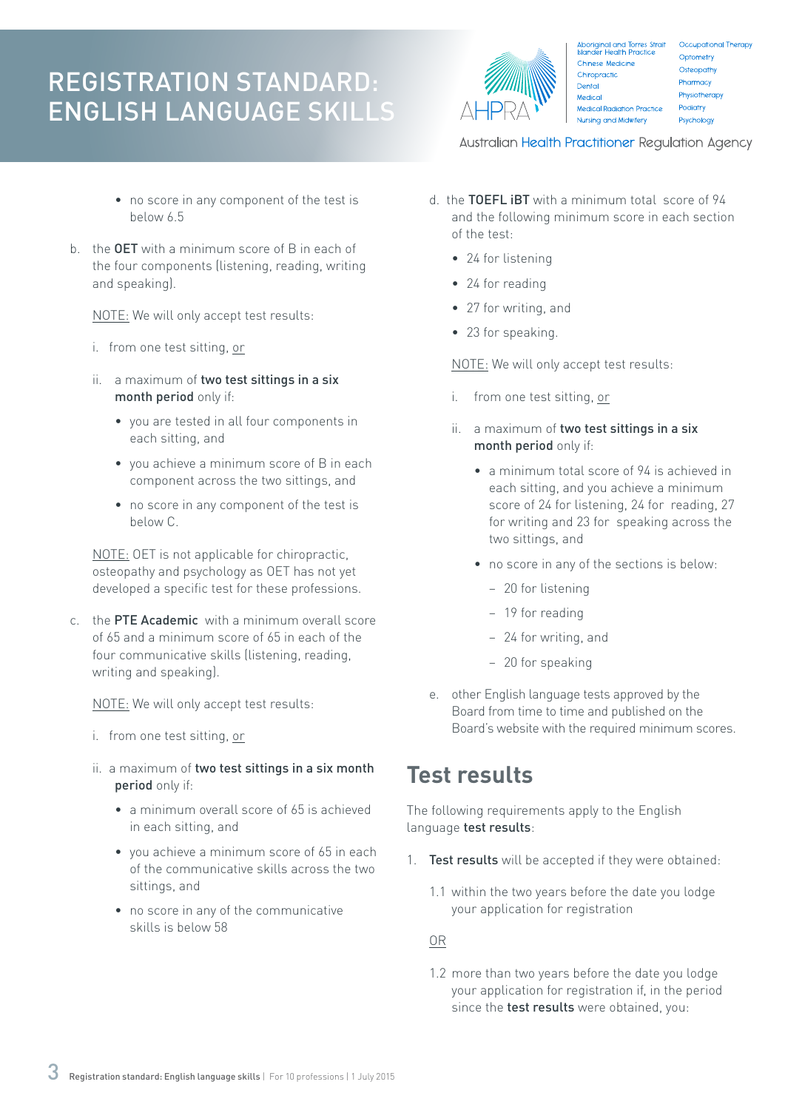- no score in any component of the test is below 6.5
- b. the OET with a minimum score of B in each of the four components (listening, reading, writing and speaking).

NOTE: We will only accept test results:

- i. from one test sitting, or
- ii. a maximum of two test sittings in a six month period only if:
	- you are tested in all four components in each sitting, and
	- you achieve a minimum score of B in each component across the two sittings, and
	- no score in any component of the test is below C.

NOTE: OET is not applicable for chiropractic, osteopathy and psychology as OET has not yet developed a specific test for these professions.

c. the PTE Academic with a minimum overall score of 65 and a minimum score of 65 in each of the four communicative skills (listening, reading, writing and speaking).

NOTE: We will only accept test results:

- i. from one test sitting, or
- ii. a maximum of two test sittings in a six month period only if:
	- a minimum overall score of 65 is achieved in each sitting, and
	- you achieve a minimum score of 65 in each of the communicative skills across the two sittings, and
	- no score in any of the communicative skills is below 58



Aboriginal and Torres Strait<br>Islander Health Practice Occupational Therapy Optometry Chinese Medicine Osteopathy Chiropractic Pharmacy Dental Physiotherapy Medical Medical Radiation Practice Podiatry Nursing and Midwifery Psychology

Australian Health Practitioner Regulation Agency

- d. the TOEFL iBT with a minimum total score of 94 and the following minimum score in each section of the test:
	- 24 for listening
	- 24 for reading
	- 27 for writing, and
	- 23 for speaking.

NOTE: We will only accept test results:

- i. from one test sitting, or
- ii. a maximum of two test sittings in a six month period only if:
	- a minimum total score of 94 is achieved in each sitting, and you achieve a minimum score of 24 for listening, 24 for reading, 27 for writing and 23 for speaking across the two sittings, and
	- no score in any of the sections is below:
		- − 20 for listening
		- − 19 for reading
		- − 24 for writing, and
		- − 20 for speaking
- e. other English language tests approved by the Board from time to time and published on the Board's website with the required minimum scores.

### **Test results**

The following requirements apply to the English language test results:

- 1. Test results will be accepted if they were obtained:
	- 1.1 within the two years before the date you lodge your application for registration

OR

1.2 more than two years before the date you lodge your application for registration if, in the period since the **test results** were obtained, you: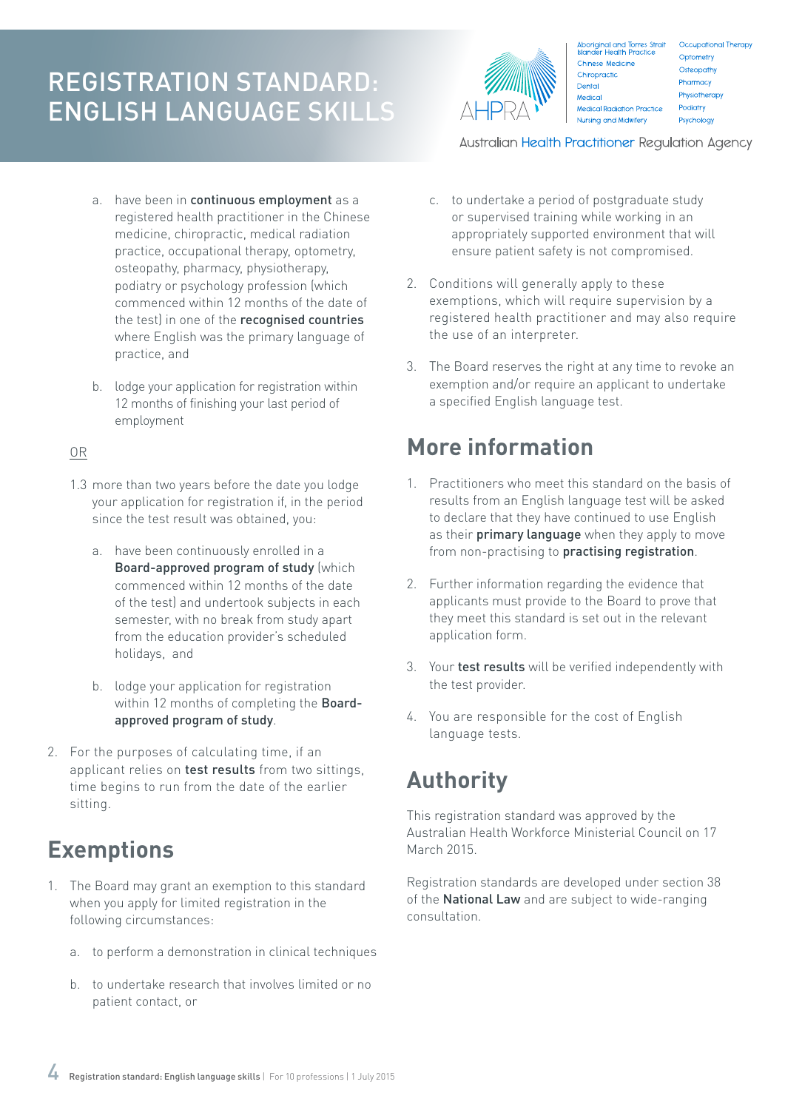

Aboriginal and Torres Strait<br>Islander Health Practice Chinese Medicine Chiropractic Dental Medical Medical Radiation Practice Nursing and Midwifery

Occupational Therapy Optometry Osteopathy Pharmacy Physiotherapy Podiatry Psychology

Australian Health Practitioner Regulation Agency

- a. have been in continuous employment as a registered health practitioner in the Chinese medicine, chiropractic, medical radiation practice, occupational therapy, optometry, osteopathy, pharmacy, physiotherapy, podiatry or psychology profession (which commenced within 12 months of the date of the test) in one of the recognised countries where English was the primary language of practice, and
- b. lodge your application for registration within 12 months of finishing your last period of employment

#### OR

- 1.3 more than two years before the date you lodge your application for registration if, in the period since the test result was obtained, you:
	- a. have been continuously enrolled in a Board-approved program of study (which commenced within 12 months of the date of the test) and undertook subjects in each semester, with no break from study apart from the education provider's scheduled holidays, and
	- b. lodge your application for registration within 12 months of completing the **Board**approved program of study.
- 2. For the purposes of calculating time, if an applicant relies on test results from two sittings, time begins to run from the date of the earlier sitting.

### **Exemptions**

- 1. The Board may grant an exemption to this standard when you apply for limited registration in the following circumstances:
	- a. to perform a demonstration in clinical techniques
	- b. to undertake research that involves limited or no patient contact, or
- c. to undertake a period of postgraduate study or supervised training while working in an appropriately supported environment that will ensure patient safety is not compromised.
- 2. Conditions will generally apply to these exemptions, which will require supervision by a registered health practitioner and may also require the use of an interpreter.
- 3. The Board reserves the right at any time to revoke an exemption and/or require an applicant to undertake a specified English language test.

### **More information**

- 1. Practitioners who meet this standard on the basis of results from an English language test will be asked to declare that they have continued to use English as their **primary language** when they apply to move from non-practising to practising registration.
- 2. Further information regarding the evidence that applicants must provide to the Board to prove that they meet this standard is set out in the relevant application form.
- 3. Your test results will be verified independently with the test provider.
- 4. You are responsible for the cost of English language tests.

### **Authority**

This registration standard was approved by the Australian Health Workforce Ministerial Council on 17 March 2015.

Registration standards are developed under section 38 of the **National Law** and are subject to wide-ranging consultation.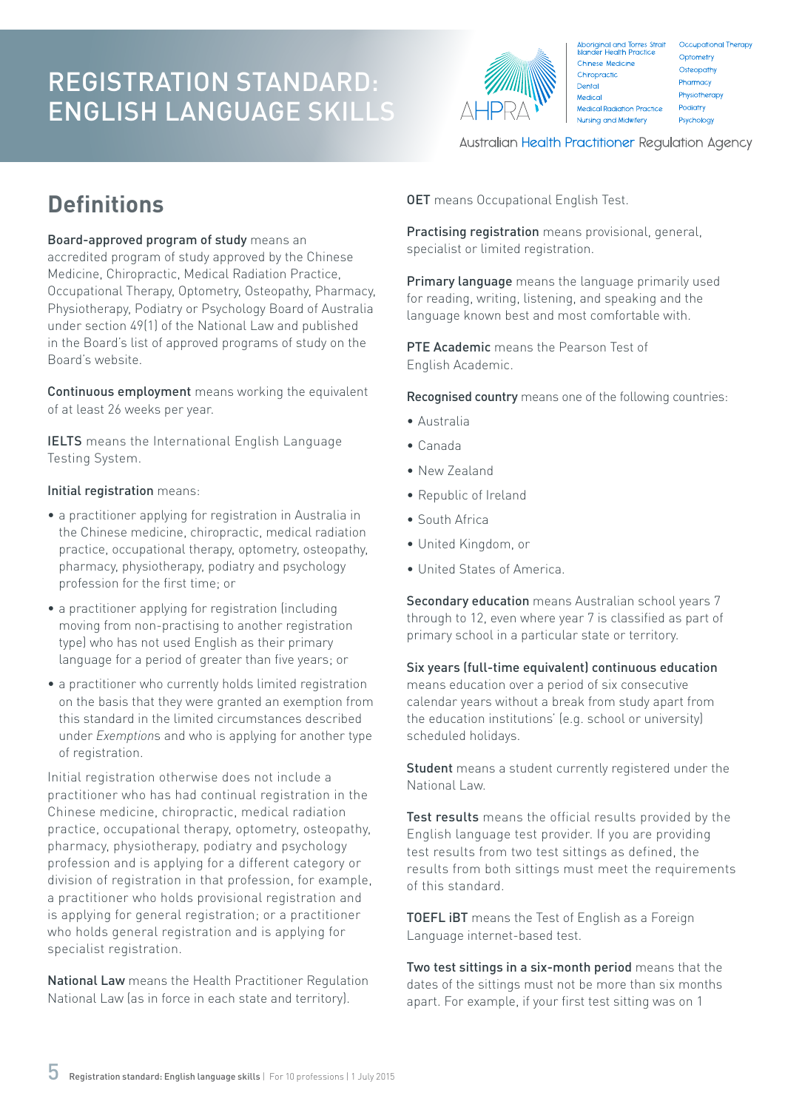

Aboriginal and Torres Strait<br>Islander Health Practice Occupational Therapy Optometry Chinese Medicine Osteopathy Chiropractic Pharmacy Dental Physiotherapy Medical Medical Radiation Practice Podiatry Nursing and Midwifery Psychology

Australian Health Practitioner Regulation Agency

# **Definitions**

Board-approved program of study means an accredited program of study approved by the Chinese Medicine, Chiropractic, Medical Radiation Practice, Occupational Therapy, Optometry, Osteopathy, Pharmacy, Physiotherapy, Podiatry or Psychology Board of Australia under section 49(1) of the National Law and published in the Board's list of approved programs of study on the Board's website.

Continuous employment means working the equivalent of at least 26 weeks per year.

IELTS means the International English Language Testing System.

#### Initial registration means:

- a practitioner applying for registration in Australia in the Chinese medicine, chiropractic, medical radiation practice, occupational therapy, optometry, osteopathy, pharmacy, physiotherapy, podiatry and psychology profession for the first time; or
- a practitioner applying for registration (including moving from non-practising to another registration type) who has not used English as their primary language for a period of greater than five years; or
- a practitioner who currently holds limited registration on the basis that they were granted an exemption from this standard in the limited circumstances described under *Exemption*s and who is applying for another type of registration.

Initial registration otherwise does not include a practitioner who has had continual registration in the Chinese medicine, chiropractic, medical radiation practice, occupational therapy, optometry, osteopathy, pharmacy, physiotherapy, podiatry and psychology profession and is applying for a different category or division of registration in that profession, for example, a practitioner who holds provisional registration and is applying for general registration; or a practitioner who holds general registration and is applying for specialist registration.

National Law means the Health Practitioner Regulation National Law (as in force in each state and territory).

**OET** means Occupational English Test.

Practising registration means provisional, general, specialist or limited registration.

Primary language means the language primarily used for reading, writing, listening, and speaking and the language known best and most comfortable with.

PTE Academic means the Pearson Test of English Academic.

Recognised country means one of the following countries:

- Australia
- Canada
- New Zealand
- Republic of Ireland
- South Africa
- United Kingdom, or
- United States of America.

Secondary education means Australian school years 7 through to 12, even where year 7 is classified as part of primary school in a particular state or territory.

Six years (full-time equivalent) continuous education means education over a period of six consecutive calendar years without a break from study apart from the education institutions' (e.g. school or university) scheduled holidays.

Student means a student currently registered under the National Law.

Test results means the official results provided by the English language test provider. If you are providing test results from two test sittings as defined, the results from both sittings must meet the requirements of this standard.

**TOEFL IBT** means the Test of English as a Foreign Language internet-based test.

Two test sittings in a six-month period means that the dates of the sittings must not be more than six months apart. For example, if your first test sitting was on 1